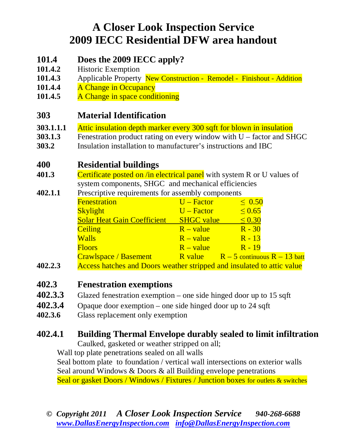# **A Closer Look Inspection Service 2009 IECC Residential DFW area handout**

## **101.4 Does the 2009 IECC apply?**

- **101.4.2** Historic Exemption
- **101.4.3** Applicable Property New Construction Remodel Finishout Addition
- 101.4.4 A Change in Occupancy
- 101.4.5 A Change in space conditioning

## **303 Material Identification**

- **303.1.1.1** Attic insulation depth marker every 300 sqft for blown in insulation
- **303.1.3** Fenestration product rating on every window with U factor and SHGC
- **303.2** Insulation installation to manufacturer's instructions and IBC

## **400 Residential buildings**

- **401.3** Certificate posted on /in electrical panel with system R or U values of system components, SHGC and mechanical efficiencies
- **402.1.1** Prescriptive requirements for assembly components

|                                    | <b>Fenestration</b>                                                                                                                                                                                                              | $U - Factor$ | $\leq 0.50$                              |
|------------------------------------|----------------------------------------------------------------------------------------------------------------------------------------------------------------------------------------------------------------------------------|--------------|------------------------------------------|
|                                    | <b>Skylight</b>                                                                                                                                                                                                                  | $U - Factor$ | $\leq 0.65$                              |
|                                    | <b>Solar Heat Gain Coefficient SHGC value</b>                                                                                                                                                                                    |              | $\leq 0.30$                              |
|                                    | <b>Ceiling</b>                                                                                                                                                                                                                   | $R - value$  | $R - 30$                                 |
|                                    | <b>Walls</b>                                                                                                                                                                                                                     | $R - value$  | $R - 13$                                 |
|                                    | <b>Floors</b>                                                                                                                                                                                                                    | $R - value$  | $R - 19$                                 |
|                                    | <b>Crawlspace / Basement</b>                                                                                                                                                                                                     |              | R value $R - 5$ continuous $R - 13$ batt |
| $\mathbf{A} \mathbf{A} \mathbf{A}$ | $\mathbf{A}$ and the state of the state of the state of the state of the state of the state of the state of the state of the state of the state of the state of the state of the state of the state of the state of the state of |              |                                          |

**402.2.3** Access hatches and Doors weather stripped and insulated to attic value

### **402.3 Fenestration exemptions**

- **402.3.3** Glazed fenestration exemption one side hinged door up to 15 sqft
- **402.3.4** Opaque door exemption one side hinged door up to 24 sqft
- **402.3.6** Glass replacement only exemption

# **402.4.1 Building Thermal Envelope durably sealed to limit infiltration**

Caulked, gasketed or weather stripped on all;

Wall top plate penetrations sealed on all walls

 Seal bottom plate to foundation / vertical wall intersections on exterior walls Seal around Windows & Doors & all Building envelope penetrations Seal or gasket Doors / Windows / Fixtures / Junction boxes for outlets & switches

*© Copyright 2011 A Closer Look Inspection Service 940-268-6688 www.DallasEnergyInspection.com info@DallasEnergyInspection.com*